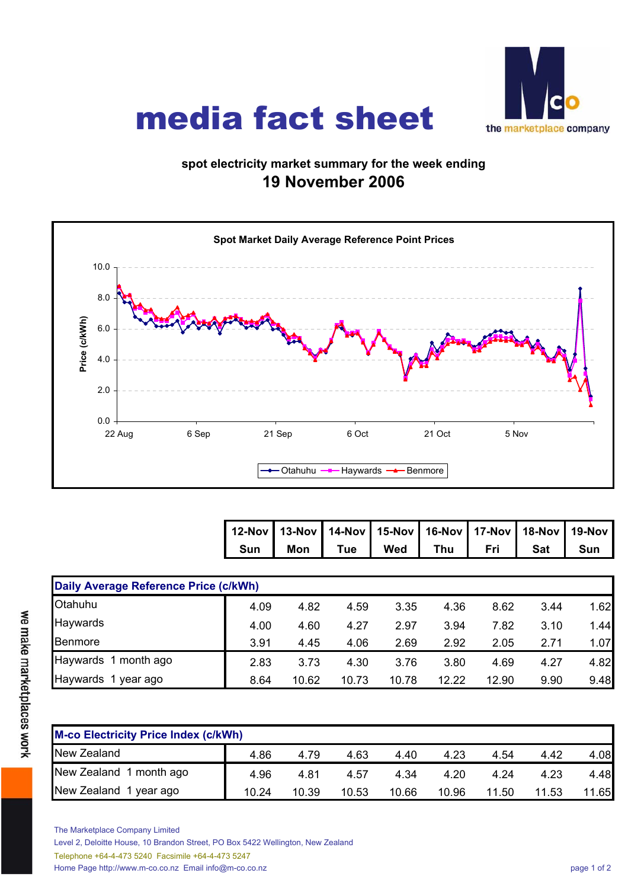

## media fact sheet

## **spot electricity market summary for the week ending 19 November 2006**



| 12-Nov   13-Nov   14-Nov   15-Nov   16-Nov   17-Nov   18-Nov   19-Nov |                                               |  |  |  |
|-----------------------------------------------------------------------|-----------------------------------------------|--|--|--|
|                                                                       | Sun   Mon   Tue   Wed   Thu   Fri   Sat   Sun |  |  |  |

| Daily Average Reference Price (c/kWh) |      |       |       |       |       |       |      |      |  |  |  |
|---------------------------------------|------|-------|-------|-------|-------|-------|------|------|--|--|--|
| Otahuhu                               | 4.09 | 4.82  | 4.59  | 3.35  | 4.36  | 8.62  | 3.44 | 1.62 |  |  |  |
| Haywards                              | 4.00 | 4.60  | 4.27  | 2.97  | 3.94  | 7.82  | 3.10 | 1.44 |  |  |  |
| Benmore                               | 3.91 | 4.45  | 4.06  | 2.69  | 2.92  | 2.05  | 2.71 | 1.07 |  |  |  |
| Haywards 1 month ago                  | 2.83 | 3.73  | 4.30  | 3.76  | 3.80  | 4.69  | 4.27 | 4.82 |  |  |  |
| Haywards<br>1 year ago                | 8.64 | 10.62 | 10.73 | 10.78 | 12.22 | 12.90 | 9.90 | 9.48 |  |  |  |

| <b>M-co Electricity Price Index (c/kWh)</b> |       |       |       |       |       |       |       |       |  |  |
|---------------------------------------------|-------|-------|-------|-------|-------|-------|-------|-------|--|--|
| New Zealand                                 | 4.86  | 4.79  | 4.63  | 4.40  | 4.23  | 4.54  | 4.42  | 4.08  |  |  |
| New Zealand 1 month ago                     | 4.96  | 4.81  | 4.57  | 4.34  | 4.20  | 4.24  | 4.23  | 4.48  |  |  |
| New Zealand 1 year ago                      | 10.24 | 10.39 | 10.53 | 10.66 | 10.96 | 11.50 | 11.53 | 11.65 |  |  |

The Marketplace Company Limited

Level 2, Deloitte House, 10 Brandon Street, PO Box 5422 Wellington, New Zealand

Telephone +64-4-473 5240 Facsimile +64-4-473 5247

Home Page http://www.m-co.co.nz Email info@m-co.co.nz page 1 of 2